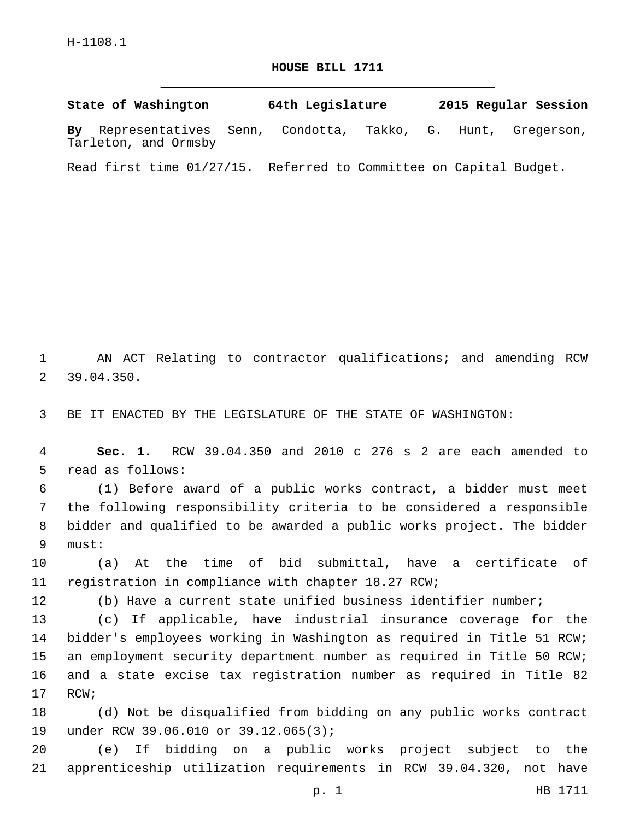## **HOUSE BILL 1711**

**State of Washington 64th Legislature 2015 Regular Session By** Representatives Senn, Condotta, Takko, G. Hunt, Gregerson, Tarleton, and Ormsby

Read first time 01/27/15. Referred to Committee on Capital Budget.

1 AN ACT Relating to contractor qualifications; and amending RCW 39.04.350.2

3 BE IT ENACTED BY THE LEGISLATURE OF THE STATE OF WASHINGTON:

4 **Sec. 1.** RCW 39.04.350 and 2010 c 276 s 2 are each amended to 5 read as follows:

 (1) Before award of a public works contract, a bidder must meet the following responsibility criteria to be considered a responsible bidder and qualified to be awarded a public works project. The bidder 9 must:

10 (a) At the time of bid submittal, have a certificate of 11 registration in compliance with chapter 18.27 RCW;

12 (b) Have a current state unified business identifier number;

 (c) If applicable, have industrial insurance coverage for the bidder's employees working in Washington as required in Title 51 RCW; an employment security department number as required in Title 50 RCW; and a state excise tax registration number as required in Title 82 17 RCW;

18 (d) Not be disqualified from bidding on any public works contract 19 under RCW 39.06.010 or 39.12.065(3);

20 (e) If bidding on a public works project subject to the 21 apprenticeship utilization requirements in RCW 39.04.320, not have

p. 1 HB 1711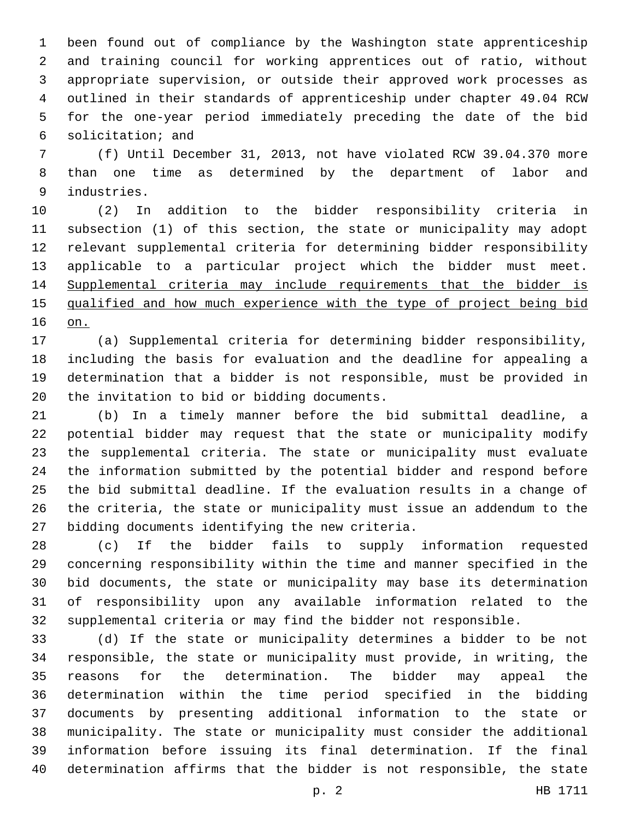been found out of compliance by the Washington state apprenticeship and training council for working apprentices out of ratio, without appropriate supervision, or outside their approved work processes as outlined in their standards of apprenticeship under chapter 49.04 RCW for the one-year period immediately preceding the date of the bid solicitation; and6

 (f) Until December 31, 2013, not have violated RCW 39.04.370 more than one time as determined by the department of labor and 9 industries.

 (2) In addition to the bidder responsibility criteria in subsection (1) of this section, the state or municipality may adopt relevant supplemental criteria for determining bidder responsibility applicable to a particular project which the bidder must meet. Supplemental criteria may include requirements that the bidder is qualified and how much experience with the type of project being bid on.

 (a) Supplemental criteria for determining bidder responsibility, including the basis for evaluation and the deadline for appealing a determination that a bidder is not responsible, must be provided in 20 the invitation to bid or bidding documents.

 (b) In a timely manner before the bid submittal deadline, a potential bidder may request that the state or municipality modify the supplemental criteria. The state or municipality must evaluate the information submitted by the potential bidder and respond before the bid submittal deadline. If the evaluation results in a change of the criteria, the state or municipality must issue an addendum to the 27 bidding documents identifying the new criteria.

 (c) If the bidder fails to supply information requested concerning responsibility within the time and manner specified in the bid documents, the state or municipality may base its determination of responsibility upon any available information related to the supplemental criteria or may find the bidder not responsible.

 (d) If the state or municipality determines a bidder to be not responsible, the state or municipality must provide, in writing, the reasons for the determination. The bidder may appeal the determination within the time period specified in the bidding documents by presenting additional information to the state or municipality. The state or municipality must consider the additional information before issuing its final determination. If the final determination affirms that the bidder is not responsible, the state

p. 2 HB 1711